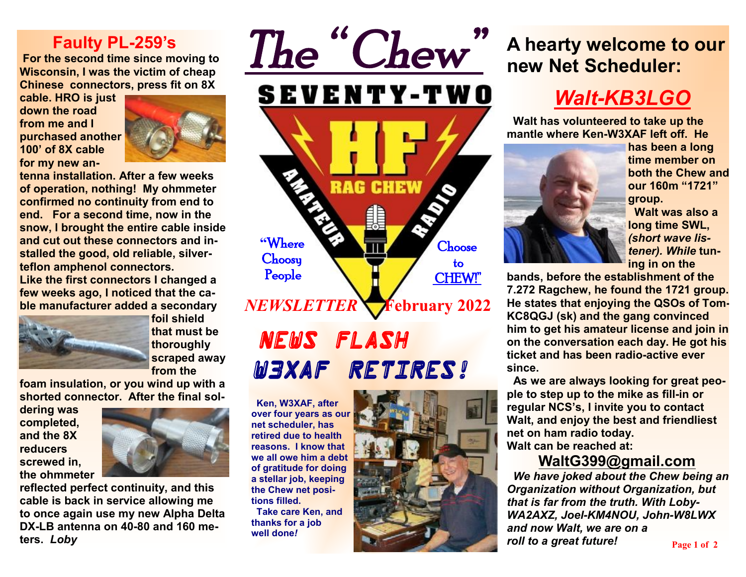#### **Faulty PL-259's**

**For the second time since moving to Wisconsin, I was the victim of cheap Chinese connectors, press fit on 8X** 

**cable. HRO is just down the road from me and I purchased another 100' of 8X cable for my new an-**



**tenna installation. After a few weeks of operation, nothing! My ohmmeter confirmed no continuity from end to end. For a second time, now in the snow, I brought the entire cable inside and cut out these connectors and installed the good, old reliable, silverteflon amphenol connectors. Like the first connectors I changed a few weeks ago, I noticed that the cable manufacturer added a secondary** 



**foil shield that must be thoroughly scraped away from the** 

**foam insulation, or you wind up with a shorted connector. After the final sol-**

**dering was completed, and the 8X reducers screwed in, the ohmmeter** 



**reflected perfect continuity, and this cable is back in service allowing me to once again use my new Alpha Delta DX-LB antenna on 40-80 and 160 meters.** *Loby*



# *News Flash… W3XAF Retires!*

 **Ken, W3XAF, after over four years as our net scheduler, has retired due to health reasons. I know that we all owe him a debt of gratitude for doing a stellar job, keeping the Chew net positions filled.** 

 **Take care Ken, and thanks for a job well done***!*



# **A hearty welcome to our new Net Scheduler:**

# *Walt-KB3LGO*

 **Walt has volunteered to take up the mantle where Ken-W3XAF left off. He** 



**has been a long time member on both the Chew and our 160m "1721" group.** 

 **Walt was also a long time SWL,**  *(short wave listener). While* **tuning in on the** 

**bands, before the establishment of the 7.272 Ragchew, he found the 1721 group. He states that enjoying the QSOs of Tom-KC8QGJ (sk) and the gang convinced him to get his amateur license and join in on the conversation each day. He got his ticket and has been radio-active ever since.** 

**As we are always looking for great people to step up to the mike as fill-in or regular NCS's, I invite you to contact Walt, and enjoy the best and friendliest net on ham radio today. Walt can be reached at:** 

#### **[WaltG399@gmail.com](mailto:WaltG399@gmail.com)**

*We have joked about the Chew being an Organization without Organization, but that is far from the truth. With Loby-WA2AXZ, Joel-KM4NOU, John-W8LWX and now Walt, we are on a roll to a great future!* **Page 1 of 2**